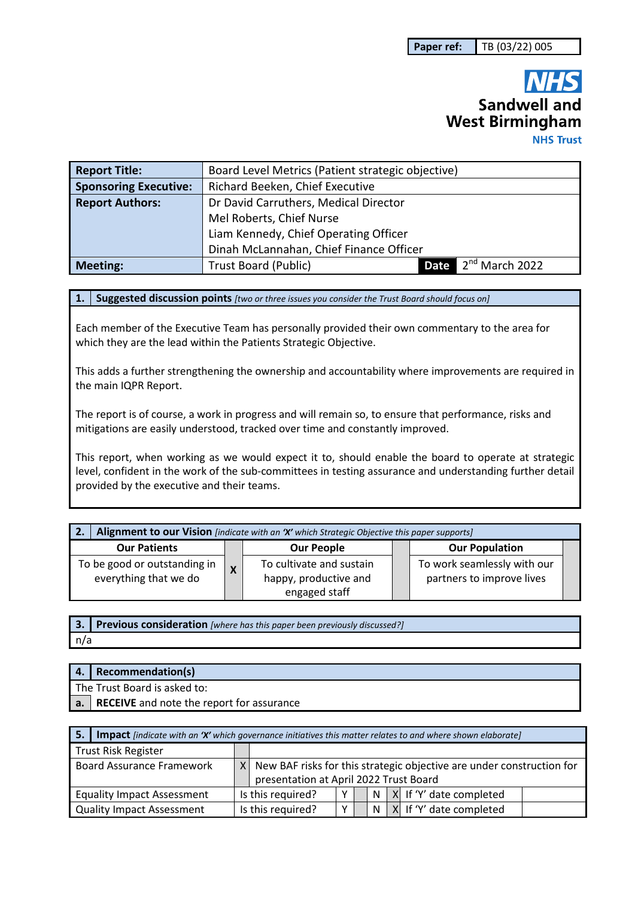# **Sandwell and West Birmingham**

**NHS Trust** 

| <b>Report Title:</b>         | Board Level Metrics (Patient strategic objective) |      |                            |  |
|------------------------------|---------------------------------------------------|------|----------------------------|--|
| <b>Sponsoring Executive:</b> | Richard Beeken, Chief Executive                   |      |                            |  |
| <b>Report Authors:</b>       | Dr David Carruthers, Medical Director             |      |                            |  |
|                              | Mel Roberts, Chief Nurse                          |      |                            |  |
|                              | Liam Kennedy, Chief Operating Officer             |      |                            |  |
|                              | Dinah McLannahan, Chief Finance Officer           |      |                            |  |
| <b>Meeting:</b>              | <b>Trust Board (Public)</b>                       | Date | 2 <sup>nd</sup> March 2022 |  |

**1. Suggested discussion points** *[two or three issues you consider the Trust Board should focus on]* 

Each member of the Executive Team has personally provided their own commentary to the area for which they are the lead within the Patients Strategic Objective.

This adds a further strengthening the ownership and accountability where improvements are required in the main IQPR Report.

The report is of course, a work in progress and will remain so, to ensure that performance, risks and mitigations are easily understood, tracked over time and constantly improved.

This report, when working as we would expect it to, should enable the board to operate at strategic level, confident in the work of the sub-committees in testing assurance and understanding further detail provided by the executive and their teams.

| Alignment to our Vision [indicate with an 'X' which Strategic Objective this paper supports]<br>' 2. |              |                                                                    |  |                                                          |  |
|------------------------------------------------------------------------------------------------------|--------------|--------------------------------------------------------------------|--|----------------------------------------------------------|--|
| <b>Our Patients</b>                                                                                  |              | <b>Our People</b>                                                  |  | <b>Our Population</b>                                    |  |
| To be good or outstanding in<br>everything that we do                                                | $\mathbf{v}$ | To cultivate and sustain<br>happy, productive and<br>engaged staff |  | To work seamlessly with our<br>partners to improve lives |  |

**3. Previous consideration** *[where has this paper been previously discussed?]* n/a

| 4.   Recommendation(s)                       |
|----------------------------------------------|
| The Trust Board is asked to:                 |
| a. RECEIVE and note the report for assurance |

| 5.1 | Impact [indicate with an 'X' which governance initiatives this matter relates to and where shown elaborate] |                |                                                                                                                 |  |  |   |                                 |
|-----|-------------------------------------------------------------------------------------------------------------|----------------|-----------------------------------------------------------------------------------------------------------------|--|--|---|---------------------------------|
|     | <b>Trust Risk Register</b>                                                                                  |                |                                                                                                                 |  |  |   |                                 |
|     | <b>Board Assurance Framework</b>                                                                            | X <sub>1</sub> | New BAF risks for this strategic objective are under construction for<br>presentation at April 2022 Trust Board |  |  |   |                                 |
|     | <b>Equality Impact Assessment</b>                                                                           |                | Is this required?                                                                                               |  |  | N | $\vert$ X If 'Y' date completed |
|     | <b>Quality Impact Assessment</b>                                                                            |                | Is this required?                                                                                               |  |  | N | X If 'Y' date completed         |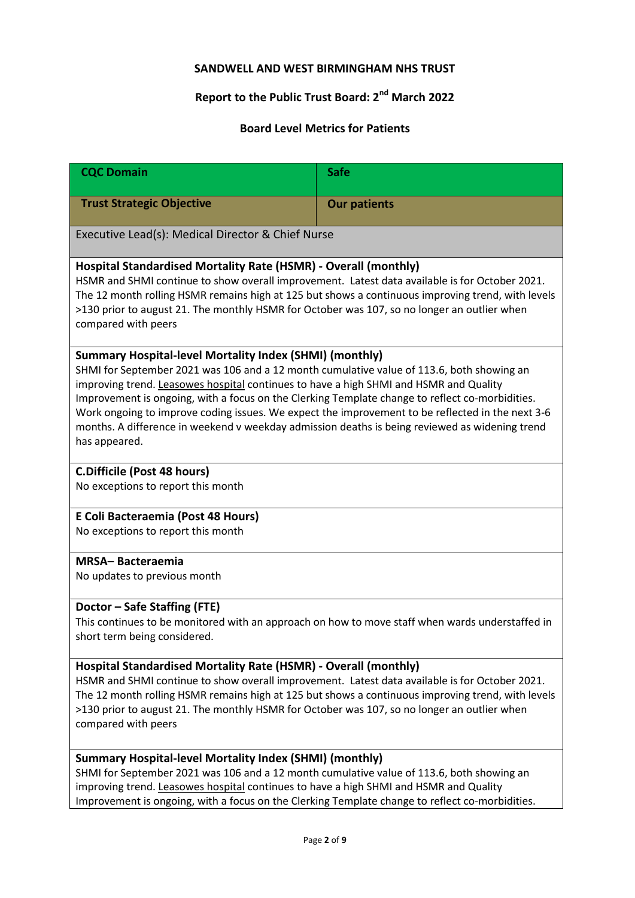# **SANDWELL AND WEST BIRMINGHAM NHS TRUST**

# **Report to the Public Trust Board: 2nd March 2022**

# **Board Level Metrics for Patients**

| <b>CQC Domain</b>                                                                                                                                                                                                                                                                                                                                                                                                                                                                                                                                                       | <b>Safe</b>         |  |  |  |
|-------------------------------------------------------------------------------------------------------------------------------------------------------------------------------------------------------------------------------------------------------------------------------------------------------------------------------------------------------------------------------------------------------------------------------------------------------------------------------------------------------------------------------------------------------------------------|---------------------|--|--|--|
| <b>Trust Strategic Objective</b>                                                                                                                                                                                                                                                                                                                                                                                                                                                                                                                                        | <b>Our patients</b> |  |  |  |
| Executive Lead(s): Medical Director & Chief Nurse                                                                                                                                                                                                                                                                                                                                                                                                                                                                                                                       |                     |  |  |  |
| Hospital Standardised Mortality Rate (HSMR) - Overall (monthly)<br>HSMR and SHMI continue to show overall improvement. Latest data available is for October 2021.<br>The 12 month rolling HSMR remains high at 125 but shows a continuous improving trend, with levels<br>>130 prior to august 21. The monthly HSMR for October was 107, so no longer an outlier when<br>compared with peers                                                                                                                                                                            |                     |  |  |  |
| Summary Hospital-level Mortality Index (SHMI) (monthly)<br>SHMI for September 2021 was 106 and a 12 month cumulative value of 113.6, both showing an<br>improving trend. Leasowes hospital continues to have a high SHMI and HSMR and Quality<br>Improvement is ongoing, with a focus on the Clerking Template change to reflect co-morbidities.<br>Work ongoing to improve coding issues. We expect the improvement to be reflected in the next 3-6<br>months. A difference in weekend v weekday admission deaths is being reviewed as widening trend<br>has appeared. |                     |  |  |  |
| <b>C.Difficile (Post 48 hours)</b><br>No exceptions to report this month                                                                                                                                                                                                                                                                                                                                                                                                                                                                                                |                     |  |  |  |
| E Coli Bacteraemia (Post 48 Hours)<br>No exceptions to report this month                                                                                                                                                                                                                                                                                                                                                                                                                                                                                                |                     |  |  |  |
| <b>MRSA-Bacteraemia</b><br>No updates to previous month                                                                                                                                                                                                                                                                                                                                                                                                                                                                                                                 |                     |  |  |  |
| Doctor - Safe Staffing (FTE)<br>This continues to be monitored with an approach on how to move staff when wards understaffed in<br>short term being considered.                                                                                                                                                                                                                                                                                                                                                                                                         |                     |  |  |  |
| Hospital Standardised Mortality Rate (HSMR) - Overall (monthly)<br>HSMR and SHMI continue to show overall improvement. Latest data available is for October 2021.<br>The 12 month rolling HSMR remains high at 125 but shows a continuous improving trend, with levels<br>>130 prior to august 21. The monthly HSMR for October was 107, so no longer an outlier when<br>compared with peers                                                                                                                                                                            |                     |  |  |  |
| Summary Hospital-level Mortality Index (SHMI) (monthly)<br>SHMI for September 2021 was 106 and a 12 month cumulative value of 113.6, both showing an<br>improving trend. Leasowes hospital continues to have a high SHMI and HSMR and Quality<br>Improvement is ongoing, with a focus on the Clerking Template change to reflect co-morbidities.                                                                                                                                                                                                                        |                     |  |  |  |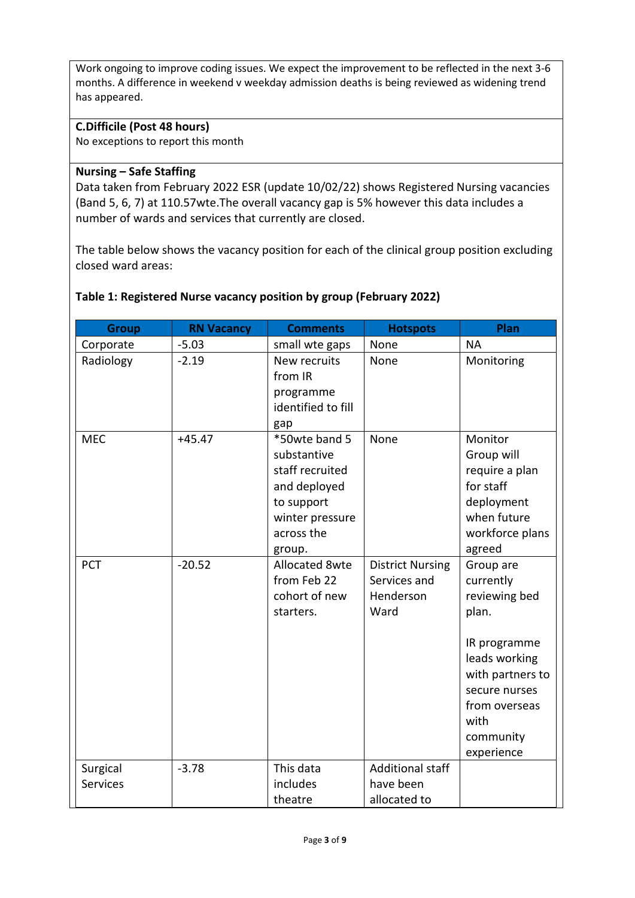Work ongoing to improve coding issues. We expect the improvement to be reflected in the next 3-6 months. A difference in weekend v weekday admission deaths is being reviewed as widening trend has appeared.

#### **C.Difficile (Post 48 hours)**

No exceptions to report this month

#### **Nursing – Safe Staffing**

Data taken from February 2022 ESR (update 10/02/22) shows Registered Nursing vacancies (Band 5, 6, 7) at 110.57wte.The overall vacancy gap is 5% however this data includes a number of wards and services that currently are closed.

The table below shows the vacancy position for each of the clinical group position excluding closed ward areas:

#### **Table 1: Registered Nurse vacancy position by group (February 2022)**

| <b>Group</b>    | <b>RN Vacancy</b> | <b>Comments</b>                                                                                                          | <b>Hotspots</b>                                              | Plan                                                                                                                                                                       |
|-----------------|-------------------|--------------------------------------------------------------------------------------------------------------------------|--------------------------------------------------------------|----------------------------------------------------------------------------------------------------------------------------------------------------------------------------|
| Corporate       | $-5.03$           | small wte gaps                                                                                                           | None                                                         | <b>NA</b>                                                                                                                                                                  |
| Radiology       | $-2.19$           | New recruits<br>from IR<br>programme<br>identified to fill<br>gap                                                        | None                                                         | Monitoring                                                                                                                                                                 |
| <b>MEC</b>      | $+45.47$          | *50wte band 5<br>substantive<br>staff recruited<br>and deployed<br>to support<br>winter pressure<br>across the<br>group. | None                                                         | Monitor<br>Group will<br>require a plan<br>for staff<br>deployment<br>when future<br>workforce plans<br>agreed                                                             |
| <b>PCT</b>      | $-20.52$          | <b>Allocated 8wte</b><br>from Feb 22<br>cohort of new<br>starters.                                                       | <b>District Nursing</b><br>Services and<br>Henderson<br>Ward | Group are<br>currently<br>reviewing bed<br>plan.<br>IR programme<br>leads working<br>with partners to<br>secure nurses<br>from overseas<br>with<br>community<br>experience |
| Surgical        | $-3.78$           | This data                                                                                                                | <b>Additional staff</b>                                      |                                                                                                                                                                            |
| <b>Services</b> |                   | includes                                                                                                                 | have been                                                    |                                                                                                                                                                            |
|                 |                   | theatre                                                                                                                  | allocated to                                                 |                                                                                                                                                                            |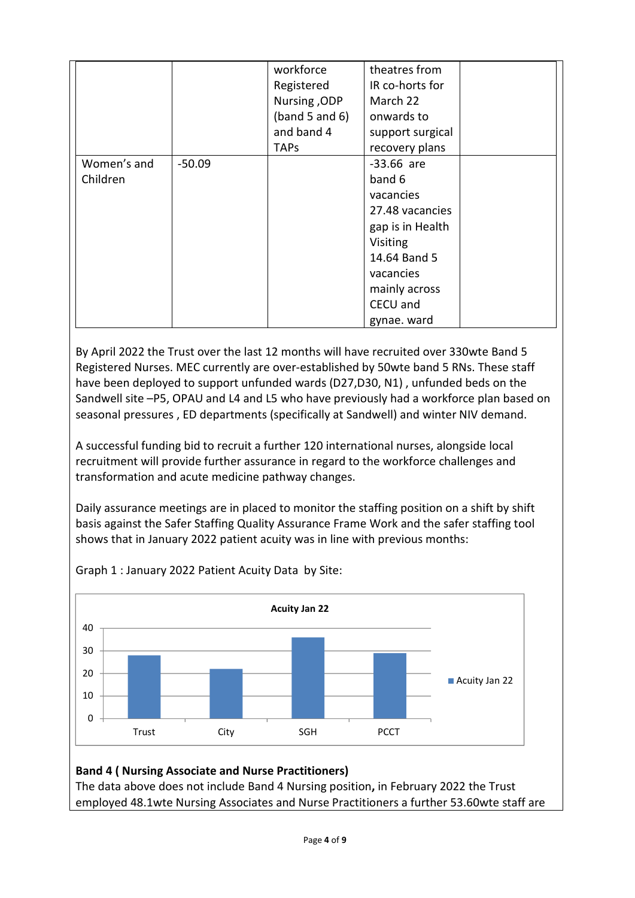|             |          | workforce      | theatres from    |  |
|-------------|----------|----------------|------------------|--|
|             |          | Registered     | IR co-horts for  |  |
|             |          | Nursing, ODP   | March 22         |  |
|             |          | (band 5 and 6) | onwards to       |  |
|             |          | and band 4     | support surgical |  |
|             |          | <b>TAPs</b>    | recovery plans   |  |
| Women's and | $-50.09$ |                | $-33.66$ are     |  |
| Children    |          |                | band 6           |  |
|             |          |                | vacancies        |  |
|             |          |                | 27.48 vacancies  |  |
|             |          |                | gap is in Health |  |
|             |          |                | Visiting         |  |
|             |          |                | 14.64 Band 5     |  |
|             |          |                | vacancies        |  |
|             |          |                | mainly across    |  |
|             |          |                | CECU and         |  |
|             |          |                | gynae. ward      |  |

By April 2022 the Trust over the last 12 months will have recruited over 330wte Band 5 Registered Nurses. MEC currently are over-established by 50wte band 5 RNs. These staff have been deployed to support unfunded wards (D27,D30, N1) , unfunded beds on the Sandwell site –P5, OPAU and L4 and L5 who have previously had a workforce plan based on seasonal pressures , ED departments (specifically at Sandwell) and winter NIV demand.

A successful funding bid to recruit a further 120 international nurses, alongside local recruitment will provide further assurance in regard to the workforce challenges and transformation and acute medicine pathway changes.

Daily assurance meetings are in placed to monitor the staffing position on a shift by shift basis against the Safer Staffing Quality Assurance Frame Work and the safer staffing tool shows that in January 2022 patient acuity was in line with previous months:



Graph 1 : January 2022 Patient Acuity Data by Site:

# **Band 4 ( Nursing Associate and Nurse Practitioners)**

The data above does not include Band 4 Nursing position**,** in February 2022 the Trust employed 48.1wte Nursing Associates and Nurse Practitioners a further 53.60wte staff are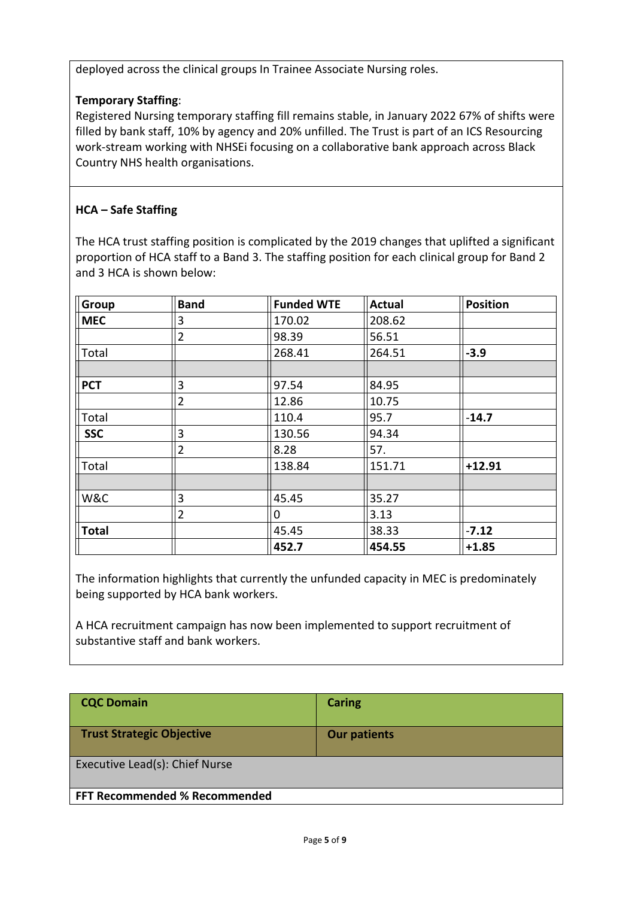deployed across the clinical groups In Trainee Associate Nursing roles.

# **Temporary Staffing**:

Registered Nursing temporary staffing fill remains stable, in January 2022 67% of shifts were filled by bank staff, 10% by agency and 20% unfilled. The Trust is part of an ICS Resourcing work-stream working with NHSEi focusing on a collaborative bank approach across Black Country NHS health organisations.

# **HCA – Safe Staffing**

The HCA trust staffing position is complicated by the 2019 changes that uplifted a significant proportion of HCA staff to a Band 3. The staffing position for each clinical group for Band 2 and 3 HCA is shown below:

| Group        | <b>Band</b>    | <b>Funded WTE</b> | <b>Actual</b> | <b>Position</b> |
|--------------|----------------|-------------------|---------------|-----------------|
| <b>MEC</b>   | 3              | 170.02            | 208.62        |                 |
|              | $\overline{2}$ | 98.39             | 56.51         |                 |
| Total        |                | 268.41            | 264.51        | $-3.9$          |
|              |                |                   |               |                 |
| <b>PCT</b>   | 3              | 97.54             | 84.95         |                 |
|              | $\overline{2}$ | 12.86             | 10.75         |                 |
| Total        |                | 110.4             | 95.7          | $-14.7$         |
| <b>SSC</b>   | 3              | 130.56            | 94.34         |                 |
|              | $\overline{2}$ | 8.28              | 57.           |                 |
| Total        |                | 138.84            | 151.71        | $+12.91$        |
|              |                |                   |               |                 |
| W&C          | 3              | 45.45             | 35.27         |                 |
|              | $\overline{2}$ | 0                 | 3.13          |                 |
| <b>Total</b> |                | 45.45             | 38.33         | $-7.12$         |
|              |                | 452.7             | 454.55        | $+1.85$         |

The information highlights that currently the unfunded capacity in MEC is predominately being supported by HCA bank workers.

A HCA recruitment campaign has now been implemented to support recruitment of substantive staff and bank workers.

| <b>CQC Domain</b>                    | <b>Caring</b>       |
|--------------------------------------|---------------------|
| <b>Trust Strategic Objective</b>     | <b>Our patients</b> |
| Executive Lead(s): Chief Nurse       |                     |
| <b>FFT Recommended % Recommended</b> |                     |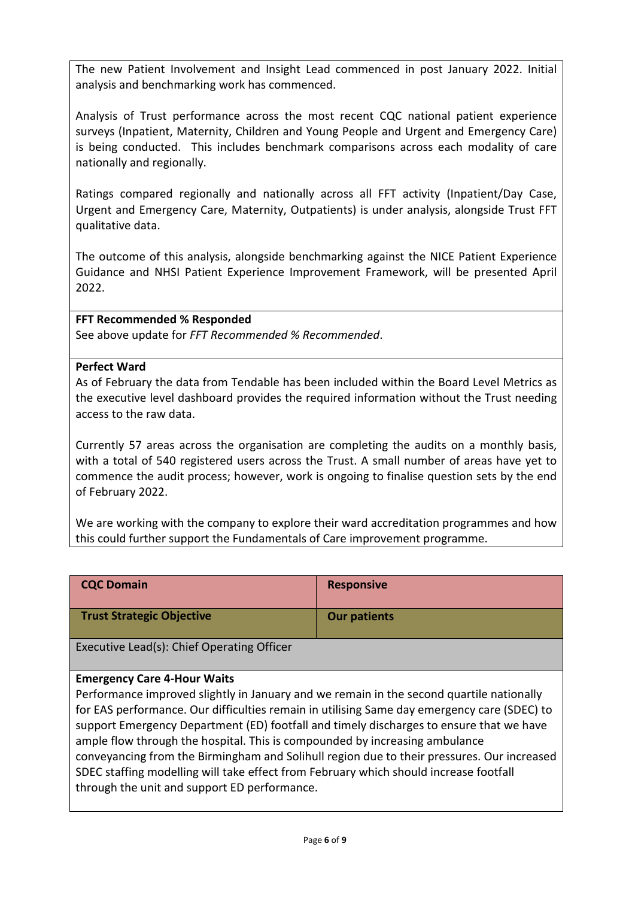The new Patient Involvement and Insight Lead commenced in post January 2022. Initial analysis and benchmarking work has commenced.

Analysis of Trust performance across the most recent CQC national patient experience surveys (Inpatient, Maternity, Children and Young People and Urgent and Emergency Care) is being conducted. This includes benchmark comparisons across each modality of care nationally and regionally.

Ratings compared regionally and nationally across all FFT activity (Inpatient/Day Case, Urgent and Emergency Care, Maternity, Outpatients) is under analysis, alongside Trust FFT qualitative data.

The outcome of this analysis, alongside benchmarking against the NICE Patient Experience Guidance and NHSI Patient Experience Improvement Framework, will be presented April 2022.

# **FFT Recommended % Responded**

See above update for *FFT Recommended % Recommended*.

#### **Perfect Ward**

As of February the data from Tendable has been included within the Board Level Metrics as the executive level dashboard provides the required information without the Trust needing access to the raw data.

Currently 57 areas across the organisation are completing the audits on a monthly basis, with a total of 540 registered users across the Trust. A small number of areas have yet to commence the audit process; however, work is ongoing to finalise question sets by the end of February 2022.

We are working with the company to explore their ward accreditation programmes and how this could further support the Fundamentals of Care improvement programme.

| <b>CQC Domain</b>                | <b>Responsive</b>   |
|----------------------------------|---------------------|
| <b>Trust Strategic Objective</b> | <b>Our patients</b> |

Executive Lead(s): Chief Operating Officer

# **Emergency Care 4-Hour Waits**

Performance improved slightly in January and we remain in the second quartile nationally for EAS performance. Our difficulties remain in utilising Same day emergency care (SDEC) to support Emergency Department (ED) footfall and timely discharges to ensure that we have ample flow through the hospital. This is compounded by increasing ambulance conveyancing from the Birmingham and Solihull region due to their pressures. Our increased SDEC staffing modelling will take effect from February which should increase footfall through the unit and support ED performance.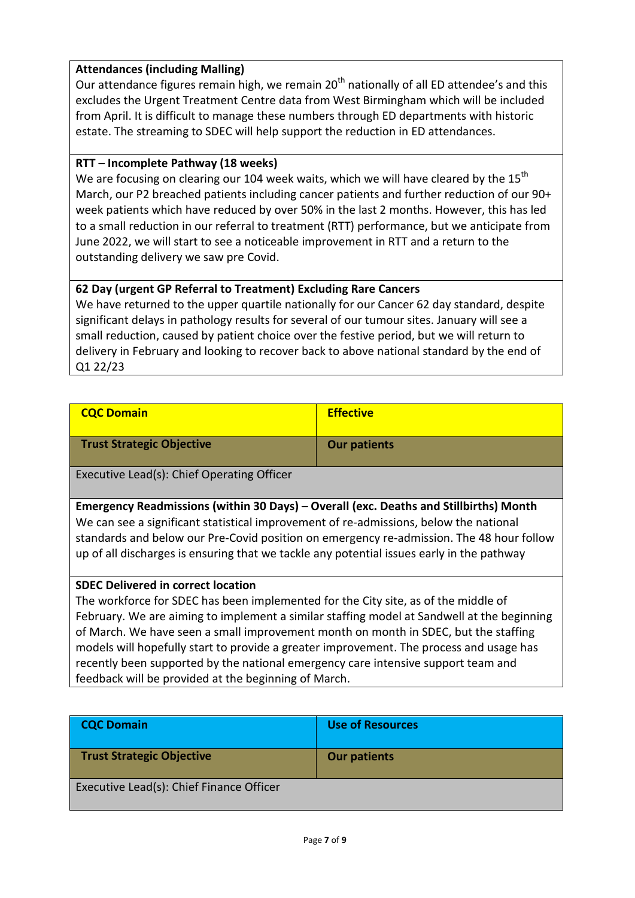### **Attendances (including Malling)**

Our attendance figures remain high, we remain  $20<sup>th</sup>$  nationally of all ED attendee's and this excludes the Urgent Treatment Centre data from West Birmingham which will be included from April. It is difficult to manage these numbers through ED departments with historic estate. The streaming to SDEC will help support the reduction in ED attendances.

#### **RTT – Incomplete Pathway (18 weeks)**

We are focusing on clearing our 104 week waits, which we will have cleared by the  $15<sup>th</sup>$ March, our P2 breached patients including cancer patients and further reduction of our 90+ week patients which have reduced by over 50% in the last 2 months. However, this has led to a small reduction in our referral to treatment (RTT) performance, but we anticipate from June 2022, we will start to see a noticeable improvement in RTT and a return to the outstanding delivery we saw pre Covid.

# **62 Day (urgent GP Referral to Treatment) Excluding Rare Cancers**

We have returned to the upper quartile nationally for our Cancer 62 day standard, despite significant delays in pathology results for several of our tumour sites. January will see a small reduction, caused by patient choice over the festive period, but we will return to delivery in February and looking to recover back to above national standard by the end of Q1 22/23

| <b>CQC Domain</b>                | <b>Effective</b>    |
|----------------------------------|---------------------|
| <b>Trust Strategic Objective</b> | <b>Our patients</b> |

Executive Lead(s): Chief Operating Officer

**Emergency Readmissions (within 30 Days) – Overall (exc. Deaths and Stillbirths) Month** We can see a significant statistical improvement of re-admissions, below the national standards and below our Pre-Covid position on emergency re-admission. The 48 hour follow up of all discharges is ensuring that we tackle any potential issues early in the pathway

#### **SDEC Delivered in correct location**

The workforce for SDEC has been implemented for the City site, as of the middle of February. We are aiming to implement a similar staffing model at Sandwell at the beginning of March. We have seen a small improvement month on month in SDEC, but the staffing models will hopefully start to provide a greater improvement. The process and usage has recently been supported by the national emergency care intensive support team and feedback will be provided at the beginning of March.

| <b>CQC Domain</b>                        | Use of Resources    |
|------------------------------------------|---------------------|
| <b>Trust Strategic Objective</b>         | <b>Our patients</b> |
| Executive Lead(s): Chief Finance Officer |                     |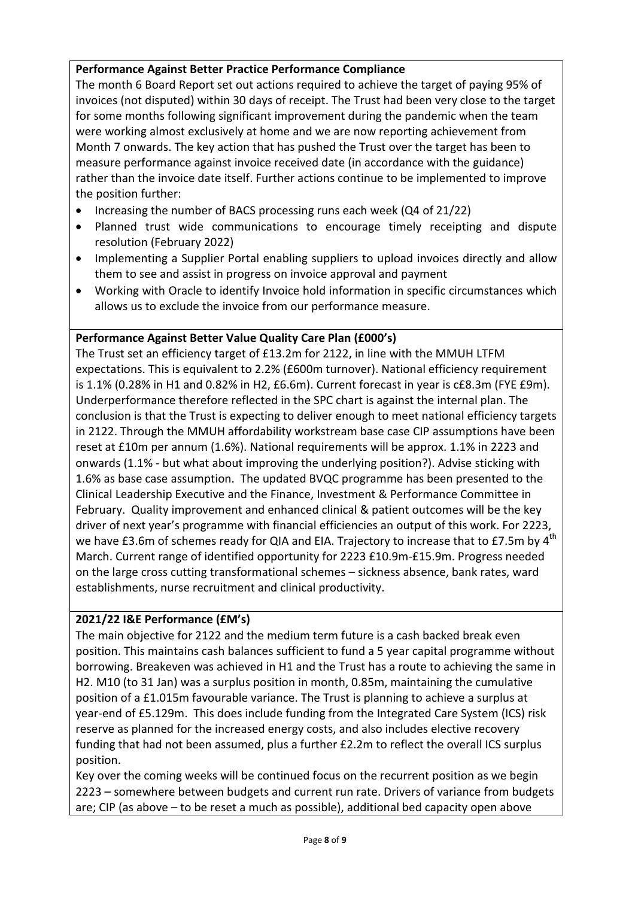# **Performance Against Better Practice Performance Compliance**

The month 6 Board Report set out actions required to achieve the target of paying 95% of invoices (not disputed) within 30 days of receipt. The Trust had been very close to the target for some months following significant improvement during the pandemic when the team were working almost exclusively at home and we are now reporting achievement from Month 7 onwards. The key action that has pushed the Trust over the target has been to measure performance against invoice received date (in accordance with the guidance) rather than the invoice date itself. Further actions continue to be implemented to improve the position further:

- Increasing the number of BACS processing runs each week (Q4 of 21/22)
- Planned trust wide communications to encourage timely receipting and dispute resolution (February 2022)
- Implementing a Supplier Portal enabling suppliers to upload invoices directly and allow them to see and assist in progress on invoice approval and payment
- Working with Oracle to identify Invoice hold information in specific circumstances which allows us to exclude the invoice from our performance measure.

### **Performance Against Better Value Quality Care Plan (£000's)**

The Trust set an efficiency target of £13.2m for 2122, in line with the MMUH LTFM expectations. This is equivalent to 2.2% (£600m turnover). National efficiency requirement is 1.1% (0.28% in H1 and 0.82% in H2, £6.6m). Current forecast in year is c£8.3m (FYE £9m). Underperformance therefore reflected in the SPC chart is against the internal plan. The conclusion is that the Trust is expecting to deliver enough to meet national efficiency targets in 2122. Through the MMUH affordability workstream base case CIP assumptions have been reset at £10m per annum (1.6%). National requirements will be approx. 1.1% in 2223 and onwards (1.1% - but what about improving the underlying position?). Advise sticking with 1.6% as base case assumption. The updated BVQC programme has been presented to the Clinical Leadership Executive and the Finance, Investment & Performance Committee in February. Quality improvement and enhanced clinical & patient outcomes will be the key driver of next year's programme with financial efficiencies an output of this work. For 2223, we have £3.6m of schemes ready for QIA and EIA. Trajectory to increase that to £7.5m by  $4^{th}$ March. Current range of identified opportunity for 2223 £10.9m-£15.9m. Progress needed on the large cross cutting transformational schemes – sickness absence, bank rates, ward establishments, nurse recruitment and clinical productivity.

#### **2021/22 I&E Performance (£M's)**

The main objective for 2122 and the medium term future is a cash backed break even position. This maintains cash balances sufficient to fund a 5 year capital programme without borrowing. Breakeven was achieved in H1 and the Trust has a route to achieving the same in H2. M10 (to 31 Jan) was a surplus position in month, 0.85m, maintaining the cumulative position of a £1.015m favourable variance. The Trust is planning to achieve a surplus at year-end of £5.129m. This does include funding from the Integrated Care System (ICS) risk reserve as planned for the increased energy costs, and also includes elective recovery funding that had not been assumed, plus a further £2.2m to reflect the overall ICS surplus position.

Key over the coming weeks will be continued focus on the recurrent position as we begin 2223 – somewhere between budgets and current run rate. Drivers of variance from budgets are; CIP (as above – to be reset a much as possible), additional bed capacity open above